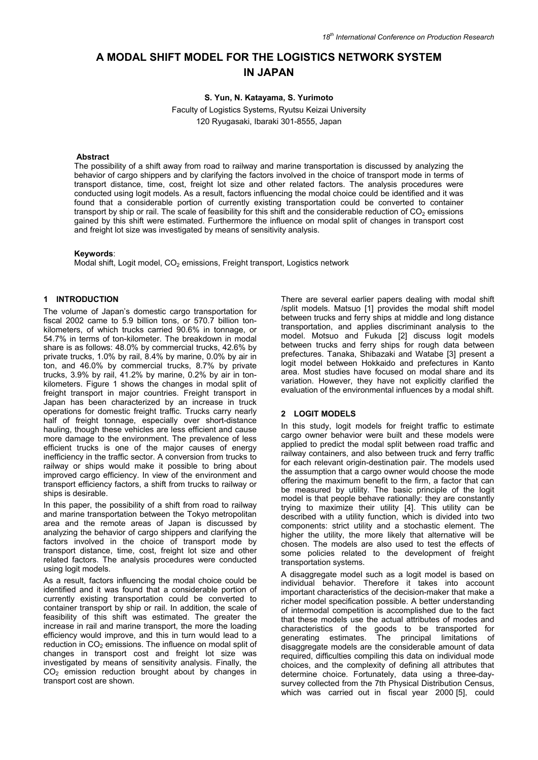# **A MODAL SHIFT MODEL FOR THE LOGISTICS NETWORK SYSTEM IN JAPAN**

**S. Yun, N. Katayama, S. Yurimoto** 

Faculty of Logistics Systems, Ryutsu Keizai University 120 Ryugasaki, Ibaraki 301-8555, Japan

## **Abstract**

The possibility of a shift away from road to railway and marine transportation is discussed by analyzing the behavior of cargo shippers and by clarifying the factors involved in the choice of transport mode in terms of transport distance, time, cost, freight lot size and other related factors. The analysis procedures were conducted using logit models. As a result, factors influencing the modal choice could be identified and it was found that a considerable portion of currently existing transportation could be converted to container transport by ship or rail. The scale of feasibility for this shift and the considerable reduction of  $CO<sub>2</sub>$  emissions gained by this shift were estimated. Furthermore the influence on modal split of changes in transport cost and freight lot size was investigated by means of sensitivity analysis.

# **Keywords**:

Modal shift, Logit model, CO<sub>2</sub> emissions, Freight transport, Logistics network

## **1 INTRODUCTION**

The volume of Japan's domestic cargo transportation for fiscal 2002 came to 5.9 billion tons, or 570.7 billion tonkilometers, of which trucks carried 90.6% in tonnage, or 54.7% in terms of ton-kilometer. The breakdown in modal share is as follows: 48.0% by commercial trucks, 42.6% by private trucks, 1.0% by rail, 8.4% by marine, 0.0% by air in ton, and 46.0% by commercial trucks, 8.7% by private trucks, 3.9% by rail, 41.2% by marine, 0.2% by air in tonkilometers. Figure 1 shows the changes in modal split of freight transport in major countries. Freight transport in Japan has been characterized by an increase in truck operations for domestic freight traffic. Trucks carry nearly half of freight tonnage, especially over short-distance hauling, though these vehicles are less efficient and cause more damage to the environment. The prevalence of less efficient trucks is one of the major causes of energy inefficiency in the traffic sector. A conversion from trucks to railway or ships would make it possible to bring about improved cargo efficiency. In view of the environment and transport efficiency factors, a shift from trucks to railway or ships is desirable.

In this paper, the possibility of a shift from road to railway and marine transportation between the Tokyo metropolitan area and the remote areas of Japan is discussed by analyzing the behavior of cargo shippers and clarifying the factors involved in the choice of transport mode by transport distance, time, cost, freight lot size and other related factors. The analysis procedures were conducted using logit models.

As a result, factors influencing the modal choice could be identified and it was found that a considerable portion of currently existing transportation could be converted to container transport by ship or rail. In addition, the scale of feasibility of this shift was estimated. The greater the increase in rail and marine transport, the more the loading efficiency would improve, and this in turn would lead to a reduction in  $CO<sub>2</sub>$  emissions. The influence on modal split of changes in transport cost and freight lot size was investigated by means of sensitivity analysis. Finally, the  $CO<sub>2</sub>$  emission reduction brought about by changes in transport cost are shown.

There are several earlier papers dealing with modal shift /split models. Matsuo [1] provides the modal shift model between trucks and ferry ships at middle and long distance transportation, and applies discriminant analysis to the model. Motsuo and Fukuda [2] discuss logit models between trucks and ferry ships for rough data between prefectures. Tanaka, Shibazaki and Watabe [3] present a logit model between Hokkaido and prefectures in Kanto area. Most studies have focused on modal share and its variation. However, they have not explicitly clarified the evaluation of the environmental influences by a modal shift.

## **2 LOGIT MODELS**

In this study, logit models for freight traffic to estimate cargo owner behavior were built and these models were applied to predict the modal split between road traffic and railway containers, and also between truck and ferry traffic for each relevant origin-destination pair. The models used the assumption that a cargo owner would choose the mode offering the maximum benefit to the firm, a factor that can be measured by utility. The basic principle of the logit model is that people behave rationally: they are constantly trying to maximize their utility [4]. This utility can be described with a utility function, which is divided into two components: strict utility and a stochastic element. The higher the utility, the more likely that alternative will be chosen. The models are also used to test the effects of some policies related to the development of freight transportation systems.

A disaggregate model such as a logit model is based on individual behavior. Therefore it takes into account important characteristics of the decision-maker that make a richer model specification possible. A better understanding of intermodal competition is accomplished due to the fact that these models use the actual attributes of modes and characteristics of the goods to be transported for generating estimates. The principal limitations of disaggregate models are the considerable amount of data required, difficulties compiling this data on individual mode choices, and the complexity of defining all attributes that determine choice. Fortunately, data using a three-daysurvey collected from the 7th Physical Distribution Census, which was carried out in fiscal year 2000 [5], could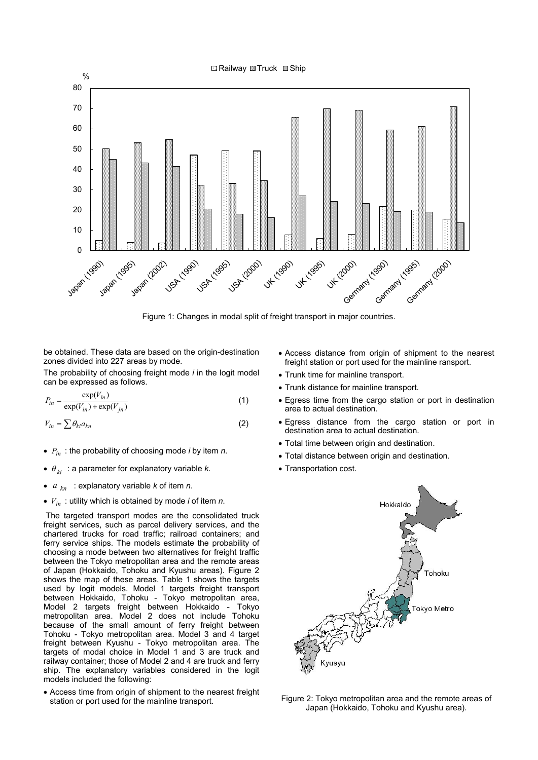

Figure 1: Changes in modal split of freight transport in major countries.

be obtained. These data are based on the origin-destination zones divided into 227 areas by mode.

The probability of choosing freight mode *i* in the logit model can be expressed as follows.

$$
P_{in} = \frac{\exp(V_{in})}{\exp(V_{in}) + \exp(V_{jn})}
$$
\n(1)

$$
V_{in} = \sum \theta_{ki} a_{kn} \tag{2}
$$

- *Pin* : the probability of choosing mode *i* by item *n*.
- $\theta_{ki}$  : a parameter for explanatory variable *k*.
- $a_{kn}$  : explanatory variable *k* of item *n*.
- *Vin* : utility which is obtained by mode *i* of item *n*.

 The targeted transport modes are the consolidated truck freight services, such as parcel delivery services, and the chartered trucks for road traffic; railroad containers; and ferry service ships. The models estimate the probability of choosing a mode between two alternatives for freight traffic between the Tokyo metropolitan area and the remote areas of Japan (Hokkaido, Tohoku and Kyushu areas). Figure 2 shows the map of these areas. Table 1 shows the targets used by logit models. Model 1 targets freight transport between Hokkaido, Tohoku - Tokyo metropolitan area, Model 2 targets freight between Hokkaido - Tokyo metropolitan area. Model 2 does not include Tohoku because of the small amount of ferry freight between Tohoku - Tokyo metropolitan area. Model 3 and 4 target freight between Kyushu - Tokyo metropolitan area. The targets of modal choice in Model 1 and 3 are truck and railway container; those of Model 2 and 4 are truck and ferry ship. The explanatory variables considered in the logit models included the following:

• Access time from origin of shipment to the nearest freight station or port used for the mainline transport.

- Access distance from origin of shipment to the nearest freight station or port used for the mainline ransport.
- Trunk time for mainline transport.
- Trunk distance for mainline transport.
- Egress time from the cargo station or port in destination area to actual destination.
- Egress distance from the cargo station or port in destination area to actual destination.
- Total time between origin and destination.
- Total distance between origin and destination.
- Transportation cost.



Figure 2: Tokyo metropolitan area and the remote areas of Japan (Hokkaido, Tohoku and Kyushu area).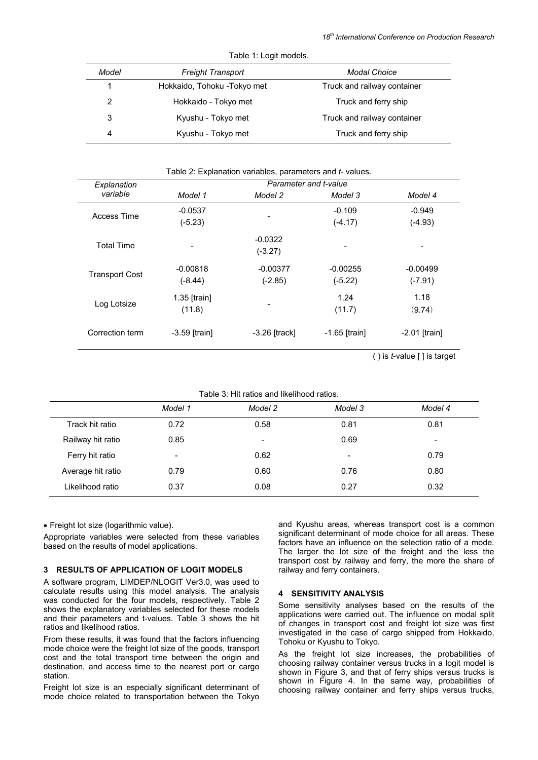| <b>TUDIO 1. LUGILITIOUGO.</b>     |                              |                             |  |
|-----------------------------------|------------------------------|-----------------------------|--|
| Model<br><b>Freight Transport</b> |                              | <b>Modal Choice</b>         |  |
| 1                                 | Hokkaido, Tohoku - Tokyo met | Truck and railway container |  |
| 2                                 | Hokkaido - Tokyo met         | Truck and ferry ship        |  |
| 3                                 | Kyushu - Tokyo met           | Truck and railway container |  |
| 4                                 | Kyushu - Tokyo met           | Truck and ferry ship        |  |

Table 1: Logit models

| Explanation           | Parameter and t-value |                 |                 |                 |
|-----------------------|-----------------------|-----------------|-----------------|-----------------|
| variable              | Model 1               | Model 2         | Model 3         | Model 4         |
| Access Time           | $-0.0537$             |                 | $-0.109$        | $-0.949$        |
|                       | $(-5.23)$             |                 | $(-4.17)$       | $(-4.93)$       |
|                       |                       | $-0.0322$       |                 |                 |
| <b>Total Time</b>     |                       | $(-3.27)$       |                 |                 |
|                       | $-0.00818$            | $-0.00377$      | $-0.00255$      | $-0.00499$      |
| <b>Transport Cost</b> | $(-8.44)$             | $(-2.85)$       | $(-5.22)$       | $(-7.91)$       |
| Log Lotsize           | $1.35$ [train]        |                 | 1.24            | 1.18            |
|                       | (11.8)                |                 | (11.7)          | (9.74)          |
| Correction term       | $-3.59$ [train]       | $-3.26$ [track] | $-1.65$ [train] | $-2.01$ [train] |

( ) is *t*-value [ ] is target

| Table 3: Hit ratios and likelihood ratios. |  |  |
|--------------------------------------------|--|--|
|                                            |  |  |

|                   | Model 1 | Model 2 | Model 3 | Model 4 |
|-------------------|---------|---------|---------|---------|
| Track hit ratio   | 0.72    | 0.58    | 0.81    | 0.81    |
| Railway hit ratio | 0.85    | -       | 0.69    | -       |
| Ferry hit ratio   | -       | 0.62    | -       | 0.79    |
| Average hit ratio | 0.79    | 0.60    | 0.76    | 0.80    |
| Likelihood ratio  | 0.37    | 0.08    | 0.27    | 0.32    |

• Freight lot size (logarithmic value).

Appropriate variables were selected from these variables based on the results of model applications.

# **3 RESULTS OF APPLICATION OF LOGIT MODELS**

A software program, LIMDEP/NLOGIT Ver3.0, was used to calculate results using this model analysis. The analysis was conducted for the four models, respectively. Table 2 shows the explanatory variables selected for these models and their parameters and t-values. Table 3 shows the hit ratios and likelihood ratios.

From these results, it was found that the factors influencing mode choice were the freight lot size of the goods, transport cost and the total transport time between the origin and destination, and access time to the nearest port or cargo station.

Freight lot size is an especially significant determinant of mode choice related to transportation between the Tokyo

and Kyushu areas, whereas transport cost is a common significant determinant of mode choice for all areas. These factors have an influence on the selection ratio of a mode. The larger the lot size of the freight and the less the transport cost by railway and ferry, the more the share of railway and ferry containers.

#### **4 SENSITIVITY ANALYSIS**

Some sensitivity analyses based on the results of the applications were carried out. The influence on modal split of changes in transport cost and freight lot size was first investigated in the case of cargo shipped from Hokkaido, Tohoku or Kyushu to Tokyo.

As the freight lot size increases, the probabilities of choosing railway container versus trucks in a logit model is shown in Figure 3, and that of ferry ships versus trucks is shown in Figure 4. In the same way, probabilities of choosing railway container and ferry ships versus trucks,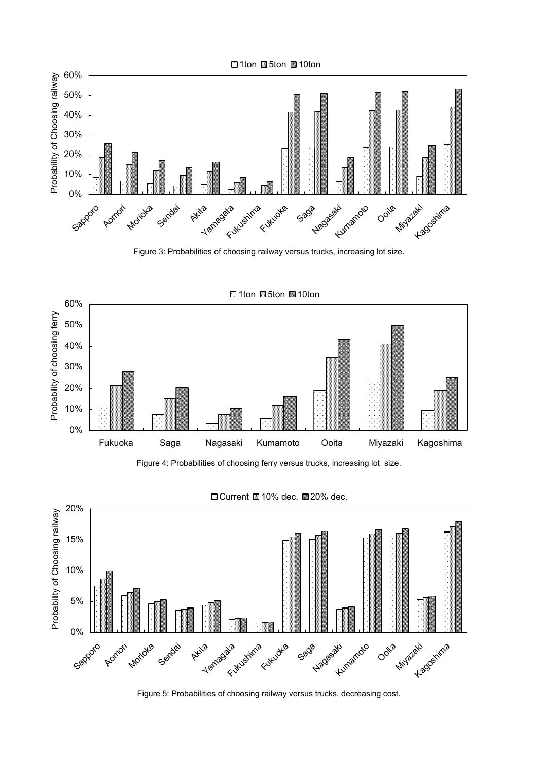

Figure 3: Probabilities of choosing railway versus trucks, increasing lot size.





Figure 4: Probabilities of choosing ferry versus trucks, increasing lot size.



Figure 5: Probabilities of choosing railway versus trucks, decreasing cost.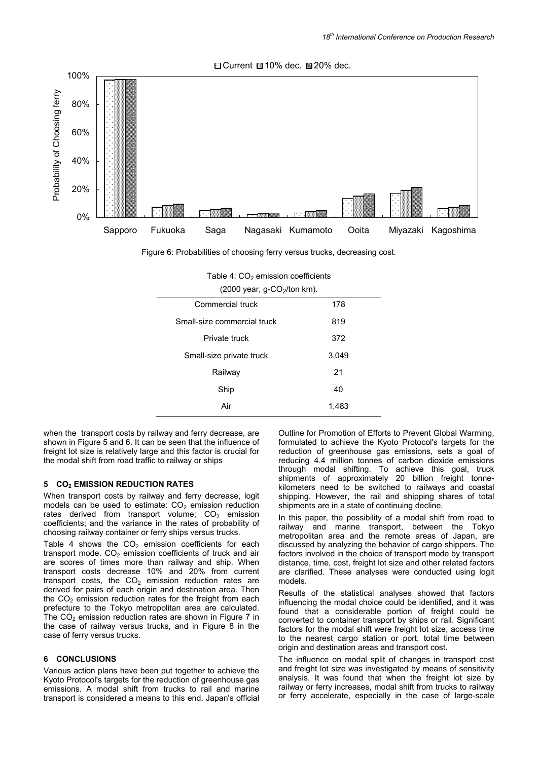



Figure 6: Probabilities of choosing ferry versus trucks, decreasing cost.

| $(2000 \text{ year}, g-CO2/ton km).$ |       |  |  |
|--------------------------------------|-------|--|--|
| Commercial truck                     | 178   |  |  |
| Small-size commercial truck          | 819   |  |  |
| Private truck                        | 372   |  |  |
| Small-size private truck             | 3,049 |  |  |
| Railway                              | 21    |  |  |
| Ship                                 | 40    |  |  |
| Air                                  | 1,483 |  |  |

| Table 4: $CO2$ emission coefficients |  |
|--------------------------------------|--|
|                                      |  |

when the transport costs by railway and ferry decrease, are shown in Figure 5 and 6. It can be seen that the influence of freight lot size is relatively large and this factor is crucial for the modal shift from road traffic to railway or ships

## **5 CO2 EMISSION REDUCTION RATES**

When transport costs by railway and ferry decrease, logit models can be used to estimate:  $CO<sub>2</sub>$  emission reduction rates derived from transport volume;  $CO<sub>2</sub>$  emission coefficients; and the variance in the rates of probability of choosing railway container or ferry ships versus trucks.

Table 4 shows the  $CO<sub>2</sub>$  emission coefficients for each transport mode.  $CO<sub>2</sub>$  emission coefficients of truck and air are scores of times more than railway and ship. When transport costs decrease 10% and 20% from current transport costs, the  $CO<sub>2</sub>$  emission reduction rates are derived for pairs of each origin and destination area. Then the  $CO<sub>2</sub>$  emission reduction rates for the freight from each prefecture to the Tokyo metropolitan area are calculated. The  $CO<sub>2</sub>$  emission reduction rates are shown in Figure 7 in the case of railway versus trucks, and in Figure 8 in the case of ferry versus trucks.

# **6 CONCLUSIONS**

Various action plans have been put together to achieve the Kyoto Protocol's targets for the reduction of greenhouse gas emissions. A modal shift from trucks to rail and marine transport is considered a means to this end. Japan's official Outline for Promotion of Efforts to Prevent Global Warming, formulated to achieve the Kyoto Protocol's targets for the reduction of greenhouse gas emissions, sets a goal of reducing 4.4 million tonnes of carbon dioxide emissions through modal shifting. To achieve this goal, truck shipments of approximately 20 billion freight tonnekilometers need to be switched to railways and coastal shipping. However, the rail and shipping shares of total shipments are in a state of continuing decline.

In this paper, the possibility of a modal shift from road to railway and marine transport, between the Tokyo metropolitan area and the remote areas of Japan, are discussed by analyzing the behavior of cargo shippers. The factors involved in the choice of transport mode by transport distance, time, cost, freight lot size and other related factors are clarified. These analyses were conducted using logit models.

Results of the statistical analyses showed that factors influencing the modal choice could be identified, and it was found that a considerable portion of freight could be converted to container transport by ships or rail. Significant factors for the modal shift were freight lot size, access time to the nearest cargo station or port, total time between origin and destination areas and transport cost.

The influence on modal split of changes in transport cost and freight lot size was investigated by means of sensitivity analysis. It was found that when the freight lot size by railway or ferry increases, modal shift from trucks to railway or ferry accelerate, especially in the case of large-scale